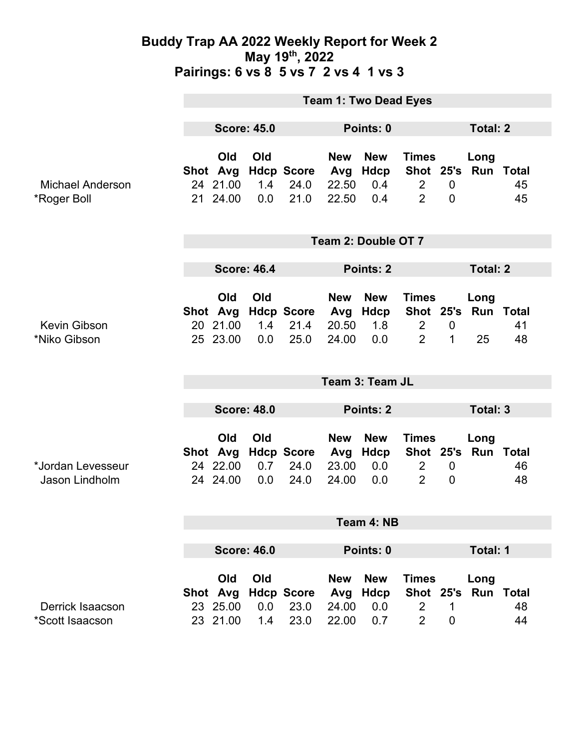### **Buddy Trap AA 2022 Weekly Report for Week 2 May 19th, 2022 Pairings: 6 vs 8 5 vs 7 2 vs 4 1 vs 3**

|                                        | <b>Team 1: Two Dead Eyes</b> |                                         |                   |                                   |                                     |                                         |                                                                         |                                    |                 |          |
|----------------------------------------|------------------------------|-----------------------------------------|-------------------|-----------------------------------|-------------------------------------|-----------------------------------------|-------------------------------------------------------------------------|------------------------------------|-----------------|----------|
|                                        | <b>Score: 45.0</b>           |                                         |                   | Points: 0                         |                                     |                                         | <b>Total: 2</b>                                                         |                                    |                 |          |
| <b>Michael Anderson</b><br>*Roger Boll |                              | Old<br>Shot Avg<br>24 21.00<br>21 24.00 | Old<br>1.4<br>0.0 | <b>Hdcp Score</b><br>24.0<br>21.0 | <b>New</b><br>Avg<br>22.50<br>22.50 | <b>New</b><br><b>Hdcp</b><br>0.4<br>0.4 | <b>Times</b><br>Shot 25's Run Total<br>$\overline{2}$<br>$\overline{2}$ | $\mathbf 0$<br>$\mathbf 0$         | Long            | 45<br>45 |
|                                        | Team 2: Double OT 7          |                                         |                   |                                   |                                     |                                         |                                                                         |                                    |                 |          |
|                                        | <b>Score: 46.4</b>           |                                         |                   |                                   | Points: 2                           |                                         |                                                                         |                                    | <b>Total: 2</b> |          |
| <b>Kevin Gibson</b><br>*Niko Gibson    |                              | Old<br>Shot Avg<br>20 21.00<br>25 23.00 | Old<br>1.4<br>0.0 | <b>Hdcp Score</b><br>21.4<br>25.0 | <b>New</b><br>Avg<br>20.50<br>24.00 | <b>New</b><br>Hdcp<br>1.8<br>0.0        | <b>Times</b><br>Shot 25's Run Total<br>2<br>$\overline{2}$              | $\mathbf 0$<br>1                   | Long<br>25      | 41<br>48 |
|                                        | Team 3: Team JL              |                                         |                   |                                   |                                     |                                         |                                                                         |                                    |                 |          |
|                                        | <b>Score: 48.0</b>           |                                         |                   | Points: 2                         |                                     |                                         |                                                                         | Total: 3                           |                 |          |
| *Jordan Levesseur<br>Jason Lindholm    |                              | Old<br>Shot Avg<br>24 22.00<br>24 24.00 | Old<br>0.7<br>0.0 | <b>Hdcp Score</b><br>24.0<br>24.0 | <b>New</b><br>Avg<br>23.00<br>24.00 | <b>New</b><br><b>Hdcp</b><br>0.0<br>0.0 | <b>Times</b><br>Shot 25's Run Total<br>$\overline{2}$<br>$\overline{2}$ | $\boldsymbol{0}$<br>$\overline{0}$ | Long            | 46<br>48 |
|                                        | Team 4: NB                   |                                         |                   |                                   |                                     |                                         |                                                                         |                                    |                 |          |
|                                        | <b>Score: 46.0</b>           |                                         |                   | Points: 0                         |                                     |                                         | <b>Total: 1</b>                                                         |                                    |                 |          |
| Derrick Isaacson<br>*Scott Isaacson    |                              | Old<br>Shot Avg<br>23 25.00<br>23 21.00 | Old<br>0.0<br>1.4 | <b>Hdcp Score</b><br>23.0<br>23.0 | <b>New</b><br>Avg<br>24.00<br>22.00 | <b>New</b><br><b>Hdcp</b><br>0.0<br>0.7 | <b>Times</b><br>Shot 25's Run Total<br>$\overline{2}$<br>$\overline{2}$ | 1<br>$\mathbf 0$                   | Long            | 48<br>44 |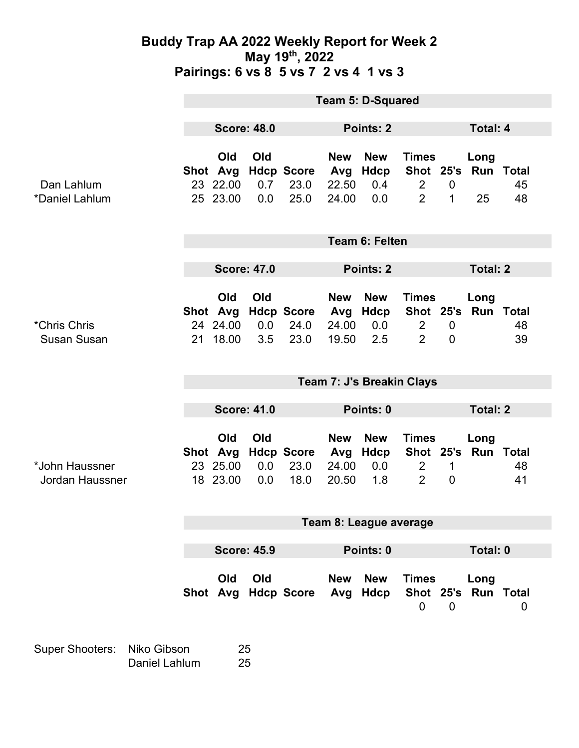### **Buddy Trap AA 2022 Weekly Report for Week 2 May 19th, 2022 Pairings: 6 vs 8 5 vs 7 2 vs 4 1 vs 3**

|                                    | <b>Team 5: D-Squared</b>  |                                         |                   |                                   |                                     |                                  |                                                  |                               |                                   |                |
|------------------------------------|---------------------------|-----------------------------------------|-------------------|-----------------------------------|-------------------------------------|----------------------------------|--------------------------------------------------|-------------------------------|-----------------------------------|----------------|
|                                    | <b>Score: 48.0</b>        |                                         |                   | Points: 2                         |                                     |                                  | Total: 4                                         |                               |                                   |                |
| Dan Lahlum<br>*Daniel Lahlum       |                           | Old<br>Shot Avg<br>23 22.00<br>25 23.00 | Old<br>0.7<br>0.0 | <b>Hdcp Score</b><br>23.0<br>25.0 | <b>New</b><br>Avg<br>22.50<br>24.00 | <b>New</b><br>Hdcp<br>0.4<br>0.0 | <b>Times</b><br>$\overline{2}$<br>$\overline{2}$ | $\overline{0}$<br>1           | Long<br>Shot 25's Run Total<br>25 | 45<br>48       |
|                                    | <b>Team 6: Felten</b>     |                                         |                   |                                   |                                     |                                  |                                                  |                               |                                   |                |
|                                    | <b>Score: 47.0</b>        |                                         |                   | Points: 2                         |                                     |                                  |                                                  | <b>Total: 2</b>               |                                   |                |
| *Chris Chris<br><b>Susan Susan</b> | 21                        | Old<br>Shot Avg<br>24 24.00<br>18.00    | Old<br>0.0<br>3.5 | <b>Hdcp Score</b><br>24.0<br>23.0 | <b>New</b><br>Avg<br>24.00<br>19.50 | <b>New</b><br>Hdcp<br>0.0<br>2.5 | <b>Times</b><br>$\overline{2}$<br>$\overline{2}$ | $\mathbf 0$<br>$\overline{0}$ | Long<br>Shot 25's Run Total       | 48<br>39       |
|                                    | Team 7: J's Breakin Clays |                                         |                   |                                   |                                     |                                  |                                                  |                               |                                   |                |
|                                    | <b>Score: 41.0</b>        |                                         |                   |                                   | Points: 0                           |                                  |                                                  |                               | <b>Total: 2</b>                   |                |
| *John Haussner<br>Jordan Haussner  |                           | Old<br>Shot Avg<br>23 25.00<br>18 23.00 | Old<br>0.0<br>0.0 | <b>Hdcp Score</b><br>23.0<br>18.0 | <b>New</b><br>Avg<br>24.00<br>20.50 | <b>New</b><br>Hdcp<br>0.0<br>1.8 | <b>Times</b><br>$\overline{2}$<br>$\overline{2}$ | 1<br>$\mathbf 0$              | Long<br>Shot 25's Run Total       | 48<br>41       |
|                                    | Team 8: League average    |                                         |                   |                                   |                                     |                                  |                                                  |                               |                                   |                |
|                                    | <b>Score: 45.9</b>        |                                         |                   | Points: 0                         |                                     |                                  |                                                  |                               | Total: 0                          |                |
|                                    |                           | Old                                     | Old               | Shot Avg Hdcp Score Avg Hdcp      | <b>New</b>                          | New                              | <b>Times</b><br>$\mathbf 0$                      | $\overline{0}$                | Long<br>Shot 25's Run Total       | $\overline{0}$ |

Super Shooters: Niko Gibson 25 Daniel Lahlum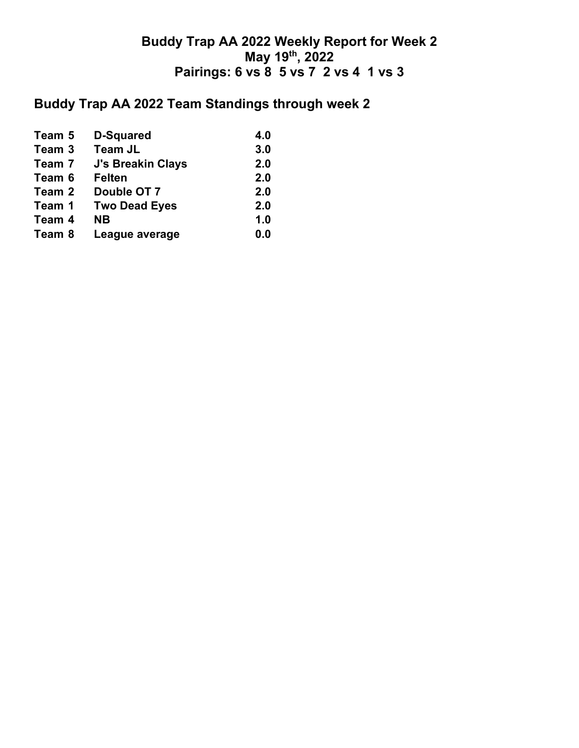## **Buddy Trap AA 2022 Weekly Report for Week 2 May 19th, 2022 Pairings: 6 vs 8 5 vs 7 2 vs 4 1 vs 3**

# **Buddy Trap AA 2022 Team Standings through week 2**

| Team 5 | <b>D-Squared</b>         | 4.0 |
|--------|--------------------------|-----|
| Team 3 | <b>Team JL</b>           | 3.0 |
| Team 7 | <b>J's Breakin Clays</b> | 2.0 |
| Team 6 | <b>Felten</b>            | 2.0 |
| Team 2 | Double OT 7              | 2.0 |
| Team 1 | <b>Two Dead Eyes</b>     | 2.0 |
| Team 4 | NΒ                       | 1.0 |
| Team 8 | League average           | 0.0 |